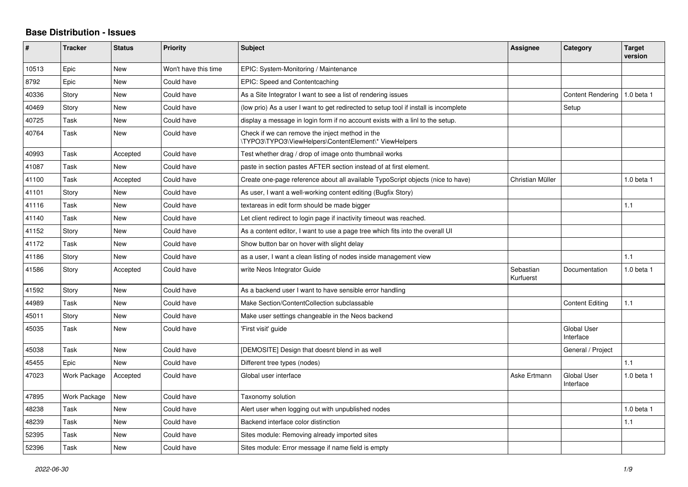## **Base Distribution - Issues**

| #     | <b>Tracker</b> | <b>Status</b> | <b>Priority</b>      | <b>Subject</b>                                                                                           | Assignee               | Category                        | <b>Target</b><br>version |
|-------|----------------|---------------|----------------------|----------------------------------------------------------------------------------------------------------|------------------------|---------------------------------|--------------------------|
| 10513 | Epic           | <b>New</b>    | Won't have this time | EPIC: System-Monitoring / Maintenance                                                                    |                        |                                 |                          |
| 8792  | Epic           | <b>New</b>    | Could have           | EPIC: Speed and Contentcaching                                                                           |                        |                                 |                          |
| 40336 | Story          | <b>New</b>    | Could have           | As a Site Integrator I want to see a list of rendering issues                                            |                        | Content Rendering               | 1.0 beta 1               |
| 40469 | Story          | <b>New</b>    | Could have           | (low prio) As a user I want to get redirected to setup tool if install is incomplete                     |                        | Setup                           |                          |
| 40725 | Task           | <b>New</b>    | Could have           | display a message in login form if no account exists with a linl to the setup.                           |                        |                                 |                          |
| 40764 | Task           | <b>New</b>    | Could have           | Check if we can remove the inject method in the<br>\TYPO3\TYPO3\ViewHelpers\ContentElement\* ViewHelpers |                        |                                 |                          |
| 40993 | Task           | Accepted      | Could have           | Test whether drag / drop of image onto thumbnail works                                                   |                        |                                 |                          |
| 41087 | Task           | <b>New</b>    | Could have           | paste in section pastes AFTER section instead of at first element.                                       |                        |                                 |                          |
| 41100 | Task           | Accepted      | Could have           | Create one-page reference about all available TypoScript objects (nice to have)                          | Christian Müller       |                                 | $1.0$ beta $1$           |
| 41101 | Story          | New           | Could have           | As user, I want a well-working content editing (Bugfix Story)                                            |                        |                                 |                          |
| 41116 | Task           | <b>New</b>    | Could have           | textareas in edit form should be made bigger                                                             |                        |                                 | 1.1                      |
| 41140 | Task           | <b>New</b>    | Could have           | Let client redirect to login page if inactivity timeout was reached.                                     |                        |                                 |                          |
| 41152 | Story          | <b>New</b>    | Could have           | As a content editor, I want to use a page tree which fits into the overall UI                            |                        |                                 |                          |
| 41172 | Task           | <b>New</b>    | Could have           | Show button bar on hover with slight delay                                                               |                        |                                 |                          |
| 41186 | Story          | <b>New</b>    | Could have           | as a user, I want a clean listing of nodes inside management view                                        |                        |                                 | 1.1                      |
| 41586 | Story          | Accepted      | Could have           | write Neos Integrator Guide                                                                              | Sebastian<br>Kurfuerst | Documentation                   | 1.0 beta 1               |
| 41592 | Story          | <b>New</b>    | Could have           | As a backend user I want to have sensible error handling                                                 |                        |                                 |                          |
| 44989 | Task           | <b>New</b>    | Could have           | Make Section/ContentCollection subclassable                                                              |                        | <b>Content Editing</b>          | 1.1                      |
| 45011 | Story          | <b>New</b>    | Could have           | Make user settings changeable in the Neos backend                                                        |                        |                                 |                          |
| 45035 | Task           | <b>New</b>    | Could have           | 'First visit' guide                                                                                      |                        | <b>Global User</b><br>Interface |                          |
| 45038 | Task           | <b>New</b>    | Could have           | [DEMOSITE] Design that doesnt blend in as well                                                           |                        | General / Project               |                          |
| 45455 | Epic           | <b>New</b>    | Could have           | Different tree types (nodes)                                                                             |                        |                                 | 1.1                      |
| 47023 | Work Package   | Accepted      | Could have           | Global user interface                                                                                    | Aske Ertmann           | <b>Global User</b><br>Interface | 1.0 beta 1               |
| 47895 | Work Package   | New           | Could have           | Taxonomy solution                                                                                        |                        |                                 |                          |
| 48238 | Task           | <b>New</b>    | Could have           | Alert user when logging out with unpublished nodes                                                       |                        |                                 | 1.0 beta 1               |
| 48239 | Task           | <b>New</b>    | Could have           | Backend interface color distinction                                                                      |                        |                                 | 1.1                      |
| 52395 | Task           | <b>New</b>    | Could have           | Sites module: Removing already imported sites                                                            |                        |                                 |                          |
| 52396 | Task           | New           | Could have           | Sites module: Error message if name field is empty                                                       |                        |                                 |                          |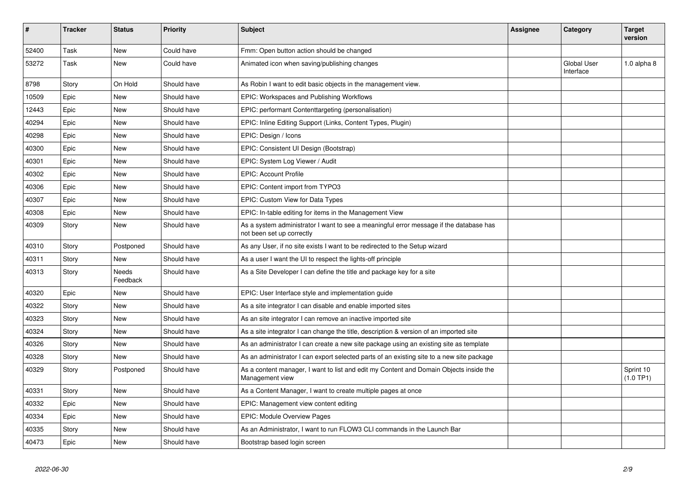| #     | <b>Tracker</b> | <b>Status</b>            | <b>Priority</b> | <b>Subject</b>                                                                                                      | Assignee | Category                        | <b>Target</b><br>version |
|-------|----------------|--------------------------|-----------------|---------------------------------------------------------------------------------------------------------------------|----------|---------------------------------|--------------------------|
| 52400 | Task           | <b>New</b>               | Could have      | Fmm: Open button action should be changed                                                                           |          |                                 |                          |
| 53272 | Task           | <b>New</b>               | Could have      | Animated icon when saving/publishing changes                                                                        |          | <b>Global User</b><br>Interface | 1.0 alpha $8$            |
| 8798  | Story          | On Hold                  | Should have     | As Robin I want to edit basic objects in the management view.                                                       |          |                                 |                          |
| 10509 | Epic           | <b>New</b>               | Should have     | EPIC: Workspaces and Publishing Workflows                                                                           |          |                                 |                          |
| 12443 | Epic           | <b>New</b>               | Should have     | EPIC: performant Contenttargeting (personalisation)                                                                 |          |                                 |                          |
| 40294 | Epic           | <b>New</b>               | Should have     | EPIC: Inline Editing Support (Links, Content Types, Plugin)                                                         |          |                                 |                          |
| 40298 | Epic           | <b>New</b>               | Should have     | EPIC: Design / Icons                                                                                                |          |                                 |                          |
| 40300 | Epic           | <b>New</b>               | Should have     | EPIC: Consistent UI Design (Bootstrap)                                                                              |          |                                 |                          |
| 40301 | Epic           | New                      | Should have     | EPIC: System Log Viewer / Audit                                                                                     |          |                                 |                          |
| 40302 | Epic           | <b>New</b>               | Should have     | <b>EPIC: Account Profile</b>                                                                                        |          |                                 |                          |
| 40306 | Epic           | <b>New</b>               | Should have     | EPIC: Content import from TYPO3                                                                                     |          |                                 |                          |
| 40307 | Epic           | New                      | Should have     | EPIC: Custom View for Data Types                                                                                    |          |                                 |                          |
| 40308 | Epic           | <b>New</b>               | Should have     | EPIC: In-table editing for items in the Management View                                                             |          |                                 |                          |
| 40309 | Story          | <b>New</b>               | Should have     | As a system administrator I want to see a meaningful error message if the database has<br>not been set up correctly |          |                                 |                          |
| 40310 | Story          | Postponed                | Should have     | As any User, if no site exists I want to be redirected to the Setup wizard                                          |          |                                 |                          |
| 40311 | Story          | <b>New</b>               | Should have     | As a user I want the UI to respect the lights-off principle                                                         |          |                                 |                          |
| 40313 | Story          | <b>Needs</b><br>Feedback | Should have     | As a Site Developer I can define the title and package key for a site                                               |          |                                 |                          |
| 40320 | Epic           | New                      | Should have     | EPIC: User Interface style and implementation guide                                                                 |          |                                 |                          |
| 40322 | Story          | New                      | Should have     | As a site integrator I can disable and enable imported sites                                                        |          |                                 |                          |
| 40323 | Story          | New                      | Should have     | As an site integrator I can remove an inactive imported site                                                        |          |                                 |                          |
| 40324 | Story          | New                      | Should have     | As a site integrator I can change the title, description & version of an imported site                              |          |                                 |                          |
| 40326 | Story          | New                      | Should have     | As an administrator I can create a new site package using an existing site as template                              |          |                                 |                          |
| 40328 | Story          | <b>New</b>               | Should have     | As an administrator I can export selected parts of an existing site to a new site package                           |          |                                 |                          |
| 40329 | Story          | Postponed                | Should have     | As a content manager, I want to list and edit my Content and Domain Objects inside the<br>Management view           |          |                                 | Sprint 10<br>(1.0 TP1)   |
| 40331 | Story          | <b>New</b>               | Should have     | As a Content Manager, I want to create multiple pages at once                                                       |          |                                 |                          |
| 40332 | Epic           | New                      | Should have     | EPIC: Management view content editing                                                                               |          |                                 |                          |
| 40334 | Epic           | New                      | Should have     | EPIC: Module Overview Pages                                                                                         |          |                                 |                          |
| 40335 | Story          | New                      | Should have     | As an Administrator, I want to run FLOW3 CLI commands in the Launch Bar                                             |          |                                 |                          |
| 40473 | Epic           | <b>New</b>               | Should have     | Bootstrap based login screen                                                                                        |          |                                 |                          |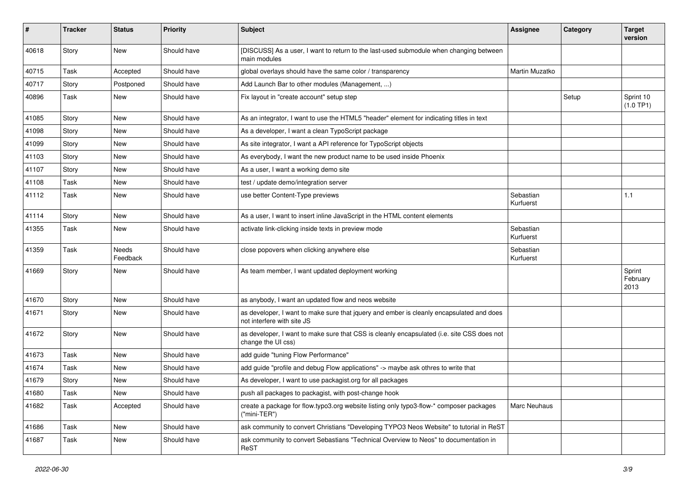| $\pmb{\#}$ | <b>Tracker</b> | <b>Status</b>            | <b>Priority</b> | Subject                                                                                                                | <b>Assignee</b>        | Category | <b>Target</b><br>version   |
|------------|----------------|--------------------------|-----------------|------------------------------------------------------------------------------------------------------------------------|------------------------|----------|----------------------------|
| 40618      | Story          | <b>New</b>               | Should have     | [DISCUSS] As a user, I want to return to the last-used submodule when changing between<br>main modules                 |                        |          |                            |
| 40715      | Task           | Accepted                 | Should have     | global overlays should have the same color / transparency                                                              | Martin Muzatko         |          |                            |
| 40717      | Story          | Postponed                | Should have     | Add Launch Bar to other modules (Management, )                                                                         |                        |          |                            |
| 40896      | Task           | New                      | Should have     | Fix layout in "create account" setup step                                                                              |                        | Setup    | Sprint 10<br>(1.0 TP1)     |
| 41085      | Story          | New                      | Should have     | As an integrator, I want to use the HTML5 "header" element for indicating titles in text                               |                        |          |                            |
| 41098      | Story          | <b>New</b>               | Should have     | As a developer, I want a clean TypoScript package                                                                      |                        |          |                            |
| 41099      | Story          | <b>New</b>               | Should have     | As site integrator, I want a API reference for TypoScript objects                                                      |                        |          |                            |
| 41103      | Story          | New                      | Should have     | As everybody, I want the new product name to be used inside Phoenix                                                    |                        |          |                            |
| 41107      | Story          | <b>New</b>               | Should have     | As a user, I want a working demo site                                                                                  |                        |          |                            |
| 41108      | Task           | New                      | Should have     | test / update demo/integration server                                                                                  |                        |          |                            |
| 41112      | Task           | <b>New</b>               | Should have     | use better Content-Type previews                                                                                       | Sebastian<br>Kurfuerst |          | 1.1                        |
| 41114      | Story          | New                      | Should have     | As a user, I want to insert inline JavaScript in the HTML content elements                                             |                        |          |                            |
| 41355      | Task           | New                      | Should have     | activate link-clicking inside texts in preview mode                                                                    | Sebastian<br>Kurfuerst |          |                            |
| 41359      | Task           | <b>Needs</b><br>Feedback | Should have     | close popovers when clicking anywhere else                                                                             | Sebastian<br>Kurfuerst |          |                            |
| 41669      | Story          | <b>New</b>               | Should have     | As team member, I want updated deployment working                                                                      |                        |          | Sprint<br>February<br>2013 |
| 41670      | Story          | <b>New</b>               | Should have     | as anybody, I want an updated flow and neos website                                                                    |                        |          |                            |
| 41671      | Story          | New                      | Should have     | as developer, I want to make sure that jquery and ember is cleanly encapsulated and does<br>not interfere with site JS |                        |          |                            |
| 41672      | Story          | <b>New</b>               | Should have     | as developer, I want to make sure that CSS is cleanly encapsulated (i.e. site CSS does not<br>change the UI css)       |                        |          |                            |
| 41673      | Task           | <b>New</b>               | Should have     | add guide "tuning Flow Performance"                                                                                    |                        |          |                            |
| 41674      | Task           | New                      | Should have     | add guide "profile and debug Flow applications" -> maybe ask othres to write that                                      |                        |          |                            |
| 41679      | Story          | New                      | Should have     | As developer, I want to use packagist.org for all packages                                                             |                        |          |                            |
| 41680      | Task           | New                      | Should have     | push all packages to packagist, with post-change hook                                                                  |                        |          |                            |
| 41682      | Task           | Accepted                 | Should have     | create a package for flow typo3 org website listing only typo3-flow-* composer packages<br>("mini-TER")                | Marc Neuhaus           |          |                            |
| 41686      | Task           | New                      | Should have     | ask community to convert Christians "Developing TYPO3 Neos Website" to tutorial in ReST                                |                        |          |                            |
| 41687      | Task           | New                      | Should have     | ask community to convert Sebastians "Technical Overview to Neos" to documentation in<br>ReST                           |                        |          |                            |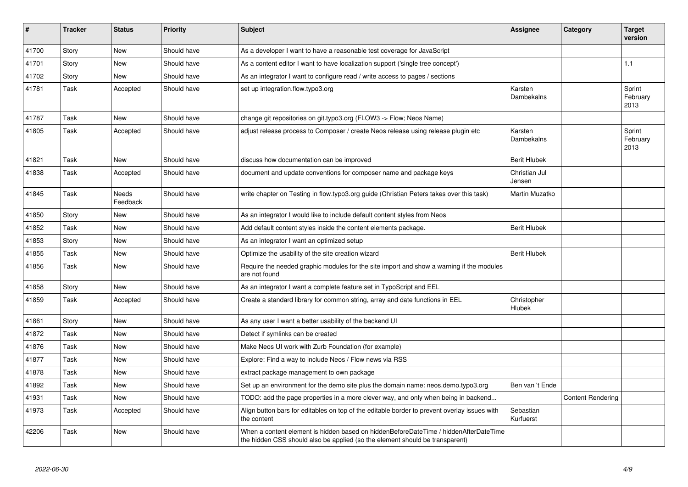| #     | <b>Tracker</b> | <b>Status</b>     | <b>Priority</b> | <b>Subject</b>                                                                                                                                                       | Assignee                | Category                 | <b>Target</b><br>version   |
|-------|----------------|-------------------|-----------------|----------------------------------------------------------------------------------------------------------------------------------------------------------------------|-------------------------|--------------------------|----------------------------|
| 41700 | Story          | <b>New</b>        | Should have     | As a developer I want to have a reasonable test coverage for JavaScript                                                                                              |                         |                          |                            |
| 41701 | Story          | New               | Should have     | As a content editor I want to have localization support ('single tree concept')                                                                                      |                         |                          | 1.1                        |
| 41702 | Story          | New               | Should have     | As an integrator I want to configure read / write access to pages / sections                                                                                         |                         |                          |                            |
| 41781 | Task           | Accepted          | Should have     | set up integration.flow.typo3.org                                                                                                                                    | Karsten<br>Dambekalns   |                          | Sprint<br>February<br>2013 |
| 41787 | Task           | <b>New</b>        | Should have     | change git repositories on git typo3.org (FLOW3 -> Flow; Neos Name)                                                                                                  |                         |                          |                            |
| 41805 | Task           | Accepted          | Should have     | adjust release process to Composer / create Neos release using release plugin etc                                                                                    | Karsten<br>Dambekalns   |                          | Sprint<br>February<br>2013 |
| 41821 | Task           | <b>New</b>        | Should have     | discuss how documentation can be improved                                                                                                                            | <b>Berit Hlubek</b>     |                          |                            |
| 41838 | Task           | Accepted          | Should have     | document and update conventions for composer name and package keys                                                                                                   | Christian Jul<br>Jensen |                          |                            |
| 41845 | Task           | Needs<br>Feedback | Should have     | write chapter on Testing in flow typo3.org guide (Christian Peters takes over this task)                                                                             | Martin Muzatko          |                          |                            |
| 41850 | Story          | New               | Should have     | As an integrator I would like to include default content styles from Neos                                                                                            |                         |                          |                            |
| 41852 | Task           | <b>New</b>        | Should have     | Add default content styles inside the content elements package.                                                                                                      | <b>Berit Hlubek</b>     |                          |                            |
| 41853 | Story          | New               | Should have     | As an integrator I want an optimized setup                                                                                                                           |                         |                          |                            |
| 41855 | Task           | <b>New</b>        | Should have     | Optimize the usability of the site creation wizard                                                                                                                   | <b>Berit Hlubek</b>     |                          |                            |
| 41856 | Task           | <b>New</b>        | Should have     | Require the needed graphic modules for the site import and show a warning if the modules<br>are not found                                                            |                         |                          |                            |
| 41858 | Story          | New               | Should have     | As an integrator I want a complete feature set in TypoScript and EEL                                                                                                 |                         |                          |                            |
| 41859 | Task           | Accepted          | Should have     | Create a standard library for common string, array and date functions in EEL                                                                                         | Christopher<br>Hlubek   |                          |                            |
| 41861 | Story          | New               | Should have     | As any user I want a better usability of the backend UI                                                                                                              |                         |                          |                            |
| 41872 | Task           | <b>New</b>        | Should have     | Detect if symlinks can be created                                                                                                                                    |                         |                          |                            |
| 41876 | Task           | New               | Should have     | Make Neos UI work with Zurb Foundation (for example)                                                                                                                 |                         |                          |                            |
| 41877 | Task           | <b>New</b>        | Should have     | Explore: Find a way to include Neos / Flow news via RSS                                                                                                              |                         |                          |                            |
| 41878 | Task           | <b>New</b>        | Should have     | extract package management to own package                                                                                                                            |                         |                          |                            |
| 41892 | Task           | New               | Should have     | Set up an environment for the demo site plus the domain name: neos.demo.typo3.org                                                                                    | Ben van 't Ende         |                          |                            |
| 41931 | Task           | New               | Should have     | TODO: add the page properties in a more clever way, and only when being in backend                                                                                   |                         | <b>Content Rendering</b> |                            |
| 41973 | Task           | Accepted          | Should have     | Align button bars for editables on top of the editable border to prevent overlay issues with<br>the content                                                          | Sebastian<br>Kurfuerst  |                          |                            |
| 42206 | Task           | <b>New</b>        | Should have     | When a content element is hidden based on hiddenBeforeDateTime / hiddenAfterDateTime<br>the hidden CSS should also be applied (so the element should be transparent) |                         |                          |                            |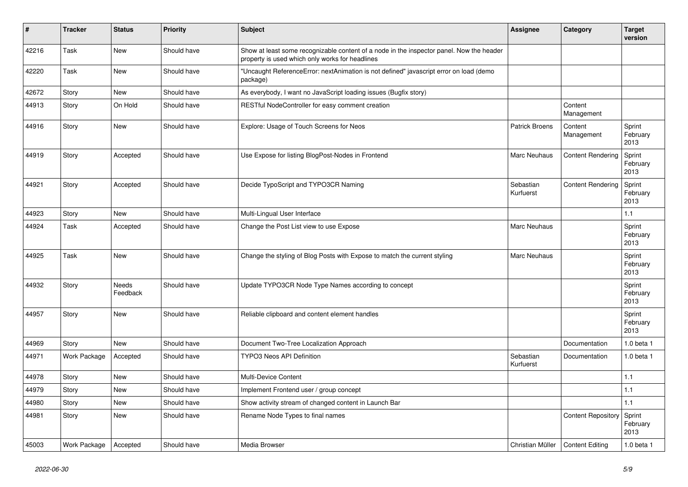| $\vert$ # | <b>Tracker</b> | <b>Status</b>     | <b>Priority</b> | Subject                                                                                                                                     | <b>Assignee</b>        | Category                  | <b>Target</b><br>version   |
|-----------|----------------|-------------------|-----------------|---------------------------------------------------------------------------------------------------------------------------------------------|------------------------|---------------------------|----------------------------|
| 42216     | Task           | <b>New</b>        | Should have     | Show at least some recognizable content of a node in the inspector panel. Now the header<br>property is used which only works for headlines |                        |                           |                            |
| 42220     | Task           | <b>New</b>        | Should have     | "Uncaught ReferenceError: nextAnimation is not defined" javascript error on load (demo<br>package)                                          |                        |                           |                            |
| 42672     | Story          | New               | Should have     | As everybody, I want no JavaScript loading issues (Bugfix story)                                                                            |                        |                           |                            |
| 44913     | Story          | On Hold           | Should have     | RESTful NodeController for easy comment creation                                                                                            |                        | Content<br>Management     |                            |
| 44916     | Story          | New               | Should have     | Explore: Usage of Touch Screens for Neos                                                                                                    | Patrick Broens         | Content<br>Management     | Sprint<br>February<br>2013 |
| 44919     | Story          | Accepted          | Should have     | Use Expose for listing BlogPost-Nodes in Frontend                                                                                           | Marc Neuhaus           | <b>Content Rendering</b>  | Sprint<br>February<br>2013 |
| 44921     | Story          | Accepted          | Should have     | Decide TypoScript and TYPO3CR Naming                                                                                                        | Sebastian<br>Kurfuerst | <b>Content Rendering</b>  | Sprint<br>February<br>2013 |
| 44923     | Story          | <b>New</b>        | Should have     | Multi-Lingual User Interface                                                                                                                |                        |                           | 1.1                        |
| 44924     | Task           | Accepted          | Should have     | Change the Post List view to use Expose                                                                                                     | <b>Marc Neuhaus</b>    |                           | Sprint<br>February<br>2013 |
| 44925     | Task           | <b>New</b>        | Should have     | Change the styling of Blog Posts with Expose to match the current styling                                                                   | <b>Marc Neuhaus</b>    |                           | Sprint<br>February<br>2013 |
| 44932     | Story          | Needs<br>Feedback | Should have     | Update TYPO3CR Node Type Names according to concept                                                                                         |                        |                           | Sprint<br>February<br>2013 |
| 44957     | Story          | <b>New</b>        | Should have     | Reliable clipboard and content element handles                                                                                              |                        |                           | Sprint<br>February<br>2013 |
| 44969     | Story          | <b>New</b>        | Should have     | Document Two-Tree Localization Approach                                                                                                     |                        | Documentation             | 1.0 beta 1                 |
| 44971     | Work Package   | Accepted          | Should have     | <b>TYPO3 Neos API Definition</b>                                                                                                            | Sebastian<br>Kurfuerst | Documentation             | 1.0 beta 1                 |
| 44978     | Story          | <b>New</b>        | Should have     | <b>Multi-Device Content</b>                                                                                                                 |                        |                           | 1.1                        |
| 44979     | Story          | <b>New</b>        | Should have     | Implement Frontend user / group concept                                                                                                     |                        |                           | 1.1                        |
| 44980     | Story          | <b>New</b>        | Should have     | Show activity stream of changed content in Launch Bar                                                                                       |                        |                           | 1.1                        |
| 44981     | Story          | <b>New</b>        | Should have     | Rename Node Types to final names                                                                                                            |                        | <b>Content Repository</b> | Sprint<br>February<br>2013 |
| 45003     | Work Package   | Accepted          | Should have     | Media Browser                                                                                                                               | Christian Müller       | <b>Content Editing</b>    | 1.0 beta 1                 |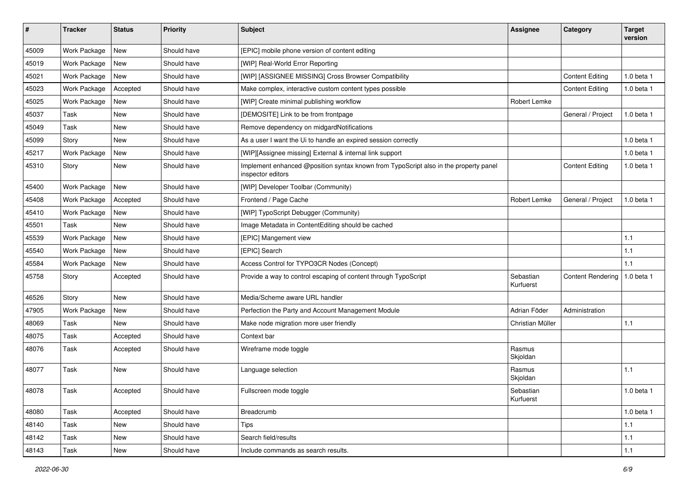| $\#$  | <b>Tracker</b> | <b>Status</b> | Priority    | Subject                                                                                                   | <b>Assignee</b>        | Category                 | <b>Target</b><br>version |
|-------|----------------|---------------|-------------|-----------------------------------------------------------------------------------------------------------|------------------------|--------------------------|--------------------------|
| 45009 | Work Package   | New           | Should have | [EPIC] mobile phone version of content editing                                                            |                        |                          |                          |
| 45019 | Work Package   | New           | Should have | [WIP] Real-World Error Reporting                                                                          |                        |                          |                          |
| 45021 | Work Package   | New           | Should have | [WIP] [ASSIGNEE MISSING] Cross Browser Compatibility                                                      |                        | <b>Content Editing</b>   | 1.0 beta 1               |
| 45023 | Work Package   | Accepted      | Should have | Make complex, interactive custom content types possible                                                   |                        | <b>Content Editing</b>   | 1.0 beta 1               |
| 45025 | Work Package   | New           | Should have | [WIP] Create minimal publishing workflow                                                                  | Robert Lemke           |                          |                          |
| 45037 | Task           | New           | Should have | [DEMOSITE] Link to be from frontpage                                                                      |                        | General / Project        | 1.0 beta 1               |
| 45049 | Task           | New           | Should have | Remove dependency on midgardNotifications                                                                 |                        |                          |                          |
| 45099 | Story          | New           | Should have | As a user I want the Ui to handle an expired session correctly                                            |                        |                          | 1.0 beta 1               |
| 45217 | Work Package   | New           | Should have | [WIP][Assignee missing] External & internal link support                                                  |                        |                          | 1.0 beta 1               |
| 45310 | Story          | New           | Should have | Implement enhanced @position syntax known from TypoScript also in the property panel<br>inspector editors |                        | <b>Content Editing</b>   | 1.0 beta 1               |
| 45400 | Work Package   | New           | Should have | [WIP] Developer Toolbar (Community)                                                                       |                        |                          |                          |
| 45408 | Work Package   | Accepted      | Should have | Frontend / Page Cache                                                                                     | Robert Lemke           | General / Project        | 1.0 beta 1               |
| 45410 | Work Package   | New           | Should have | [WIP] TypoScript Debugger (Community)                                                                     |                        |                          |                          |
| 45501 | Task           | New           | Should have | Image Metadata in ContentEditing should be cached                                                         |                        |                          |                          |
| 45539 | Work Package   | New           | Should have | [EPIC] Mangement view                                                                                     |                        |                          | 1.1                      |
| 45540 | Work Package   | New           | Should have | [EPIC] Search                                                                                             |                        |                          | 1.1                      |
| 45584 | Work Package   | New           | Should have | Access Control for TYPO3CR Nodes (Concept)                                                                |                        |                          | 1.1                      |
| 45758 | Story          | Accepted      | Should have | Provide a way to control escaping of content through TypoScript                                           | Sebastian<br>Kurfuerst | <b>Content Rendering</b> | 1.0 beta 1               |
| 46526 | Story          | New           | Should have | Media/Scheme aware URL handler                                                                            |                        |                          |                          |
| 47905 | Work Package   | New           | Should have | Perfection the Party and Account Management Module                                                        | Adrian Föder           | Administration           |                          |
| 48069 | Task           | New           | Should have | Make node migration more user friendly                                                                    | Christian Müller       |                          | 1.1                      |
| 48075 | Task           | Accepted      | Should have | Context bar                                                                                               |                        |                          |                          |
| 48076 | Task           | Accepted      | Should have | Wireframe mode toggle                                                                                     | Rasmus<br>Skjoldan     |                          |                          |
| 48077 | Task           | New           | Should have | Language selection                                                                                        | Rasmus<br>Skjoldan     |                          | 1.1                      |
| 48078 | Task           | Accepted      | Should have | Fullscreen mode toggle                                                                                    | Sebastian<br>Kurfuerst |                          | 1.0 beta 1               |
| 48080 | Task           | Accepted      | Should have | Breadcrumb                                                                                                |                        |                          | 1.0 beta 1               |
| 48140 | Task           | New           | Should have | <b>Tips</b>                                                                                               |                        |                          | $1.1$                    |
| 48142 | Task           | New           | Should have | Search field/results                                                                                      |                        |                          | $1.1$                    |
| 48143 | Task           | New           | Should have | Include commands as search results.                                                                       |                        |                          | $1.1$                    |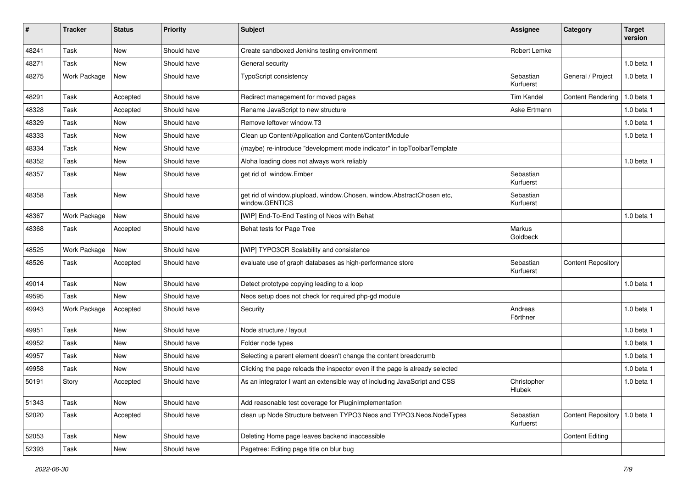| $\sharp$ | <b>Tracker</b>      | <b>Status</b> | <b>Priority</b> | <b>Subject</b>                                                                          | <b>Assignee</b>        | Category                      | <b>Target</b><br>version |
|----------|---------------------|---------------|-----------------|-----------------------------------------------------------------------------------------|------------------------|-------------------------------|--------------------------|
| 48241    | Task                | <b>New</b>    | Should have     | Create sandboxed Jenkins testing environment                                            | Robert Lemke           |                               |                          |
| 48271    | Task                | <b>New</b>    | Should have     | General security                                                                        |                        |                               | 1.0 beta 1               |
| 48275    | <b>Work Package</b> | <b>New</b>    | Should have     | TypoScript consistency                                                                  | Sebastian<br>Kurfuerst | General / Project             | 1.0 beta 1               |
| 48291    | Task                | Accepted      | Should have     | Redirect management for moved pages                                                     | <b>Tim Kandel</b>      | <b>Content Rendering</b>      | 1.0 beta 1               |
| 48328    | Task                | Accepted      | Should have     | Rename JavaScript to new structure                                                      | Aske Ertmann           |                               | 1.0 beta 1               |
| 48329    | Task                | New           | Should have     | Remove leftover window.T3                                                               |                        |                               | 1.0 beta 1               |
| 48333    | Task                | New           | Should have     | Clean up Content/Application and Content/ContentModule                                  |                        |                               | 1.0 beta 1               |
| 48334    | Task                | <b>New</b>    | Should have     | (maybe) re-introduce "development mode indicator" in topToolbarTemplate                 |                        |                               |                          |
| 48352    | Task                | New           | Should have     | Aloha loading does not always work reliably                                             |                        |                               | 1.0 beta 1               |
| 48357    | Task                | <b>New</b>    | Should have     | get rid of window.Ember                                                                 | Sebastian<br>Kurfuerst |                               |                          |
| 48358    | Task                | <b>New</b>    | Should have     | get rid of window.plupload, window.Chosen, window.AbstractChosen etc,<br>window.GENTICS | Sebastian<br>Kurfuerst |                               |                          |
| 48367    | Work Package        | New           | Should have     | [WIP] End-To-End Testing of Neos with Behat                                             |                        |                               | 1.0 beta 1               |
| 48368    | Task                | Accepted      | Should have     | Behat tests for Page Tree                                                               | Markus<br>Goldbeck     |                               |                          |
| 48525    | Work Package        | New           | Should have     | [WIP] TYPO3CR Scalability and consistence                                               |                        |                               |                          |
| 48526    | Task                | Accepted      | Should have     | evaluate use of graph databases as high-performance store                               | Sebastian<br>Kurfuerst | <b>Content Repository</b>     |                          |
| 49014    | Task                | <b>New</b>    | Should have     | Detect prototype copying leading to a loop                                              |                        |                               | 1.0 beta 1               |
| 49595    | Task                | <b>New</b>    | Should have     | Neos setup does not check for required php-gd module                                    |                        |                               |                          |
| 49943    | Work Package        | Accepted      | Should have     | Security                                                                                | Andreas<br>Förthner    |                               | 1.0 beta 1               |
| 49951    | Task                | <b>New</b>    | Should have     | Node structure / layout                                                                 |                        |                               | 1.0 beta 1               |
| 49952    | Task                | New           | Should have     | Folder node types                                                                       |                        |                               | 1.0 beta 1               |
| 49957    | Task                | New           | Should have     | Selecting a parent element doesn't change the content breadcrumb                        |                        |                               | 1.0 beta 1               |
| 49958    | Task                | New           | Should have     | Clicking the page reloads the inspector even if the page is already selected            |                        |                               | 1.0 beta 1               |
| 50191    | Story               | Accepted      | Should have     | As an integrator I want an extensible way of including JavaScript and CSS               | Christopher<br>Hlubek  |                               | 1.0 beta 1               |
| 51343    | Task                | New           | Should have     | Add reasonable test coverage for PluginImplementation                                   |                        |                               |                          |
| 52020    | Task                | Accepted      | Should have     | clean up Node Structure between TYPO3 Neos and TYPO3.Neos.NodeTypes                     | Sebastian<br>Kurfuerst | Content Repository 1.0 beta 1 |                          |
| 52053    | Task                | New           | Should have     | Deleting Home page leaves backend inaccessible                                          |                        | <b>Content Editing</b>        |                          |
| 52393    | Task                | New           | Should have     | Pagetree: Editing page title on blur bug                                                |                        |                               |                          |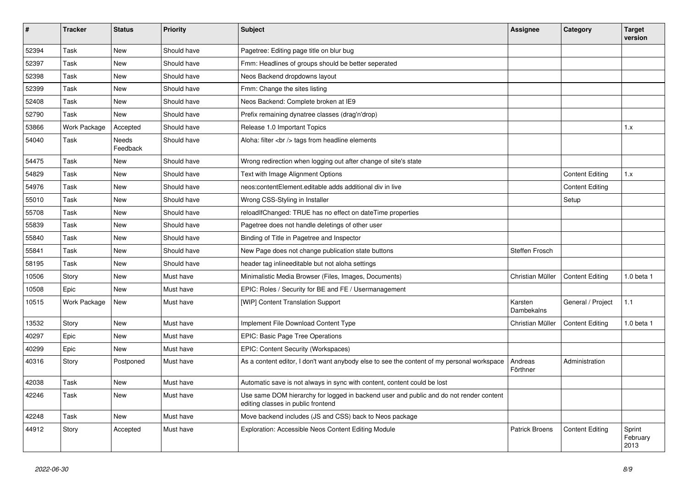| #     | <b>Tracker</b>      | <b>Status</b>     | <b>Priority</b> | <b>Subject</b>                                                                                                               | Assignee              | Category               | <b>Target</b><br>version   |
|-------|---------------------|-------------------|-----------------|------------------------------------------------------------------------------------------------------------------------------|-----------------------|------------------------|----------------------------|
| 52394 | Task                | <b>New</b>        | Should have     | Pagetree: Editing page title on blur bug                                                                                     |                       |                        |                            |
| 52397 | Task                | <b>New</b>        | Should have     | Fmm: Headlines of groups should be better seperated                                                                          |                       |                        |                            |
| 52398 | Task                | <b>New</b>        | Should have     | Neos Backend dropdowns layout                                                                                                |                       |                        |                            |
| 52399 | Task                | New               | Should have     | Fmm: Change the sites listing                                                                                                |                       |                        |                            |
| 52408 | Task                | <b>New</b>        | Should have     | Neos Backend: Complete broken at IE9                                                                                         |                       |                        |                            |
| 52790 | Task                | New               | Should have     | Prefix remaining dynatree classes (drag'n'drop)                                                                              |                       |                        |                            |
| 53866 | Work Package        | Accepted          | Should have     | Release 1.0 Important Topics                                                                                                 |                       |                        | 1.x                        |
| 54040 | Task                | Needs<br>Feedback | Should have     | Aloha: filter<br>tags from headline elements                                                                                 |                       |                        |                            |
| 54475 | Task                | New               | Should have     | Wrong redirection when logging out after change of site's state                                                              |                       |                        |                            |
| 54829 | Task                | <b>New</b>        | Should have     | Text with Image Alignment Options                                                                                            |                       | <b>Content Editing</b> | 1.x                        |
| 54976 | Task                | New               | Should have     | neos:contentElement.editable adds additional div in live                                                                     |                       | <b>Content Editing</b> |                            |
| 55010 | Task                | <b>New</b>        | Should have     | Wrong CSS-Styling in Installer                                                                                               |                       | Setup                  |                            |
| 55708 | Task                | New               | Should have     | reloadIfChanged: TRUE has no effect on dateTime properties                                                                   |                       |                        |                            |
| 55839 | Task                | <b>New</b>        | Should have     | Pagetree does not handle deletings of other user                                                                             |                       |                        |                            |
| 55840 | Task                | New               | Should have     | Binding of Title in Pagetree and Inspector                                                                                   |                       |                        |                            |
| 55841 | Task                | <b>New</b>        | Should have     | New Page does not change publication state buttons                                                                           | Steffen Frosch        |                        |                            |
| 58195 | Task                | New               | Should have     | header tag inlineeditable but not aloha settings                                                                             |                       |                        |                            |
| 10506 | Story               | <b>New</b>        | Must have       | Minimalistic Media Browser (Files, Images, Documents)                                                                        | Christian Müller      | <b>Content Editing</b> | $1.0$ beta $1$             |
| 10508 | Epic                | <b>New</b>        | Must have       | EPIC: Roles / Security for BE and FE / Usermanagement                                                                        |                       |                        |                            |
| 10515 | <b>Work Package</b> | <b>New</b>        | Must have       | [WIP] Content Translation Support                                                                                            | Karsten<br>Dambekalns | General / Project      | 1.1                        |
| 13532 | Story               | New               | Must have       | Implement File Download Content Type                                                                                         | Christian Müller      | <b>Content Editing</b> | 1.0 beta 1                 |
| 40297 | Epic                | <b>New</b>        | Must have       | EPIC: Basic Page Tree Operations                                                                                             |                       |                        |                            |
| 40299 | Epic                | New               | Must have       | EPIC: Content Security (Workspaces)                                                                                          |                       |                        |                            |
| 40316 | Story               | Postponed         | Must have       | As a content editor, I don't want anybody else to see the content of my personal workspace                                   | Andreas<br>Förthner   | Administration         |                            |
| 42038 | Task                | <b>New</b>        | Must have       | Automatic save is not always in sync with content, content could be lost                                                     |                       |                        |                            |
| 42246 | Task                | New               | Must have       | Use same DOM hierarchy for logged in backend user and public and do not render content<br>editing classes in public frontend |                       |                        |                            |
| 42248 | Task                | <b>New</b>        | Must have       | Move backend includes (JS and CSS) back to Neos package                                                                      |                       |                        |                            |
| 44912 | Story               | Accepted          | Must have       | Exploration: Accessible Neos Content Editing Module                                                                          | <b>Patrick Broens</b> | <b>Content Editing</b> | Sprint<br>February<br>2013 |